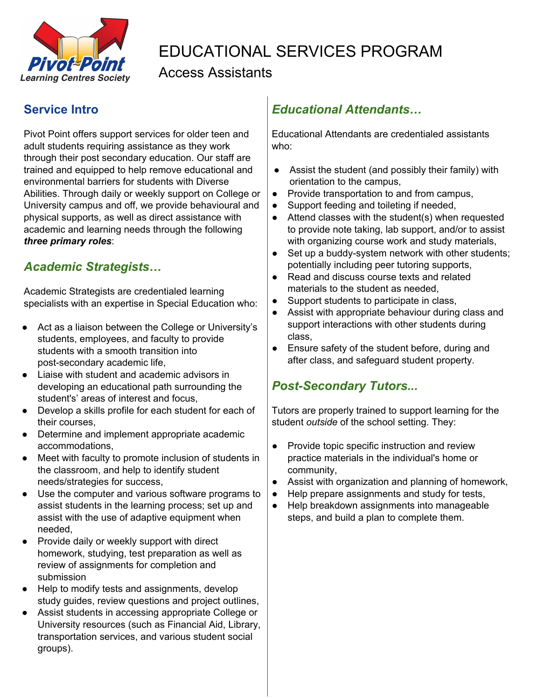

# EDUCATIONAL SERVICES PROGRAM

### Access Assistants

#### **Service Intro**

Pivot Point offers support services for older teen and adult students requiring assistance as they work through their post secondary education. Our staff are trained and equipped to help remove educational and environmental barriers for students with Diverse Abilities. Through daily or weekly support on College or University campus and off, we provide behavioural and physical supports, as well as direct assistance with academic and learning needs through the following *three primary roles*:

### *Academic Strategists…*

Academic Strategists are credentialed learning specialists with an expertise in Special Education who:

- Act as a liaison between the College or University's students, employees, and faculty to provide students with a smooth transition into post-secondary academic life,
- Liaise with student and academic advisors in developing an educational path surrounding the student's' areas of interest and focus,
- Develop a skills profile for each student for each of their courses,
- Determine and implement appropriate academic accommodations,
- Meet with faculty to promote inclusion of students in the classroom, and help to identify student needs/strategies for success,
- Use the computer and various software programs to assist students in the learning process; set up and assist with the use of adaptive equipment when needed,
- Provide daily or weekly support with direct homework, studying, test preparation as well as review of assignments for completion and submission
- Help to modify tests and assignments, develop study guides, review questions and project outlines,
- Assist students in accessing appropriate College or University resources (such as Financial Aid, Library, transportation services, and various student social groups).

### *Educational Attendants…*

Educational Attendants are credentialed assistants who:

- Assist the student (and possibly their family) with orientation to the campus,
- Provide transportation to and from campus,
- Support feeding and toileting if needed,
- Attend classes with the student(s) when requested to provide note taking, lab support, and/or to assist with organizing course work and study materials,
- Set up a buddy-system network with other students; potentially including peer tutoring supports,
- Read and discuss course texts and related materials to the student as needed,
- Support students to participate in class,
- Assist with appropriate behaviour during class and support interactions with other students during class,
- Ensure safety of the student before, during and after class, and safeguard student property.

### *Post-Secondary Tutors...*

Tutors are properly trained to support learning for the student *outside* of the school setting. They:

- Provide topic specific instruction and review practice materials in the individual's home or community,
- Assist with organization and planning of homework,
- Help prepare assignments and study for tests,
- Help breakdown assignments into manageable steps, and build a plan to complete them.